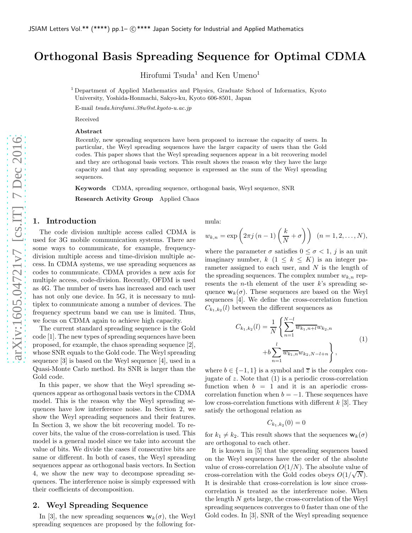# Orthogonal Basis Spreading Sequence for Optimal CDMA

Hirofumi Tsuda<sup>1</sup> and Ken Umeno<sup>1</sup>

<sup>1</sup> Department of Applied Mathematics and Physics, Graduate School of Informatics, Kyoto University, Yoshida-Honmachi, Sakyo-ku, Kyoto 606-8501, Japan

E-mail tsuda.hirofumi.38u@st.kyoto-u.ac.jp

Received

# Abstract

Recently, new spreading sequences have been proposed to increase the capacity of users. In particular, the Weyl spreading sequences have the larger capacity of users than the Gold codes. This paper shows that the Weyl spreading sequences appear in a bit recovering model and they are orthogonal basis vectors. This result shows the reason why they have the large capacity and that any spreading sequence is expressed as the sum of the Weyl spreading sequences.

Keywords CDMA, spreading sequence, orthogonal basis, Weyl sequence, SNR

Research Activity Group Applied Chaos

# 1. Introduction

The code division multiple access called CDMA is used for 3G mobile communication systems. There are some ways to communicate, for example, frequencydivision multiple access and time-division multiple access. In CDMA systems, we use spreading sequences as codes to communicate. CDMA provides a new axis for multiple access, code-division. Recently, OFDM is used as 4G. The number of users has increased and each user has not only one device. In 5G, it is necessary to multiplex to communicate among a number of devices. The frequency spectrum band we can use is limited. Thus, we focus on CDMA again to achieve high capacity.

The current standard spreading sequence is the Gold code [1]. The new types of spreading sequences have been proposed, for example, the chaos spreading sequence [2], whose SNR equals to the Gold code. The Weyl spreading sequence [3] is based on the Weyl sequence [4], used in a Quasi-Monte Carlo method. Its SNR is larger than the Gold code.

In this paper, we show that the Weyl spreading sequences appear as orthogonal basis vectors in the CDMA model. This is the reason why the Weyl spreading sequences have low interference noise. In Section 2, we show the Weyl spreading sequences and their features. In Section 3, we show the bit recovering model. To recover bits, the value of the cross-correlation is used. This model is a general model since we take into account the value of bits. We divide the cases if consecutive bits are same or different. In both of cases, the Weyl spreading sequences appear as orthogonal basis vectors. In Section 4, we show the new way to decompose spreading sequences. The interference noise is simply expressed with their coefficients of decomposition.

# 2. Weyl Spreading Sequence

In [3], the new spreading sequences  $\mathbf{w}_k(\sigma)$ , the Weyl spreading sequences are proposed by the following formula:

$$
w_{k,n} = \exp\left(2\pi j\left(n-1\right)\left(\frac{k}{N}+\sigma\right)\right) \quad (n=1,2,\ldots,N),
$$

where the parameter  $\sigma$  satisfies  $0 \leq \sigma < 1$ , j is an unit imaginary number,  $k$   $(1 \leq k \leq K)$  is an integer parameter assigned to each user, and  $N$  is the length of the spreading sequences. The complex number  $w_{k,n}$  represents the *n*-th element of the user  $k$ 's spreading sequence  $\mathbf{w}_k(\sigma)$ . These sequences are based on the Weyl sequences [4]. We define the cross-correlation function  $C_{k_1,k_2}(l)$  between the different sequences as

$$
C_{k_1,k_2}(l) = \frac{1}{N} \left\{ \sum_{n=1}^{N-l} \overline{w_{k_1,n+l}} w_{k_2,n} + b \sum_{n=1}^{l} \overline{w_{k_1,n}} w_{k_2,N-l+n} \right\},
$$
\n(1)

where  $b \in \{-1, 1\}$  is a symbol and  $\overline{z}$  is the complex conjugate of z. Note that  $(1)$  is a periodic cross-correlation function when  $b = 1$  and it is an aperiodic crosscorrelation function when  $b = -1$ . These sequences have low cross-correlation functions with different  $k$  [3]. They satisfy the orthogonal relation as

$$
C_{k_1,k_2}(0) = 0
$$

for  $k_1 \neq k_2$ . This result shows that the sequences  $\mathbf{w}_k(\sigma)$ are orthogonal to each other.

It is known in [5] that the spreading sequences based on the Weyl sequences have the order of the absolute value of cross-correlation  $O(1/N)$ . The absolute value of cross-correlation with the Gold codes obeys  $O(1/\sqrt{N})$ . It is desirable that cross-correlation is low since crosscorrelation is treated as the interference noise. When the length N gets large, the cross-correlation of the Weyl spreading sequences converges to 0 faster than one of the Gold codes. In [3], SNR of the Weyl spreading sequence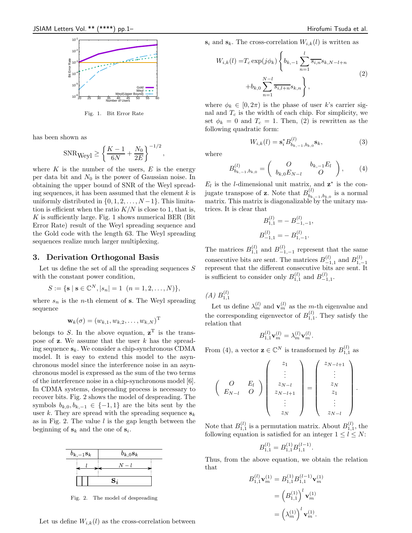

Fig. 1. Bit Error Rate

has been shown as

$$
SNR_{Weyl} \ge \left\{ \frac{K-1}{6N} + \frac{N_0}{2E} \right\}^{-1/2},
$$

where  $K$  is the number of the users,  $E$  is the energy per data bit and  $N_0$  is the power of Gaussian noise. In obtaining the upper bound of SNR of the Weyl spreading sequences, it has been assumed that the element  $k$  is uniformly distributed in  $\{0, 1, 2, \ldots, N-1\}$ . This limitation is efficient when the ratio  $K/N$  is close to 1, that is,  $K$  is sufficiently large. Fig. 1 shows numerical BER (Bit) Error Rate) result of the Weyl spreading sequence and the Gold code with the length 63. The Weyl spreading sequences realize much larger multiplexing.

#### 3. Derivation Orthogonal Basis

Let us define the set of all the spreading sequences  $S$ with the constant power condition,

$$
S := \{ \mathbf{s} \mid \mathbf{s} \in \mathbb{C}^N, |s_n| = 1 \ \ (n = 1, 2, \dots, N) \},
$$

where  $s_n$  is the *n*-th element of **s**. The Weyl spreading sequence

$$
\mathbf{w}_k(\sigma) = (w_{k,1}, w_{k,2}, \dots, w_{k,N})^{\mathrm{T}}
$$

belongs to S. In the above equation,  $z<sup>T</sup>$  is the transpose of  $z$ . We assume that the user  $k$  has the spreading sequence  $s_k$ . We consider a chip-synchronous CDMA model. It is easy to extend this model to the asynchronous model since the interference noise in an asynchronous model is expressed as the sum of the two terms of the interference noise in a chip-synchronous model [6]. In CDMA systems, despreading process is necessary to recover bits. Fig. 2 shows the model of despreading. The symbols  $b_{k,0}, b_{k,-1} \in \{-1,1\}$  are the bits sent by the user k. They are spread with the spreading sequence  $s_k$ as in Fig. 2. The value  $l$  is the gap length between the beginning of  $s_k$  and the one of  $s_i$ .



Fig. 2. The model of despreading

Let us define  $W_{i,k}(l)$  as the cross-correlation between

 $\binom{(l)}{b_{k,-1},b_{k,0}}$ **S**<sub>k</sub>, (3)

 $s_i$  and  $s_k$ . The cross-correlation  $W_{i,k}(l)$  is written as

$$
W_{i,k}(l) = T_c \exp(j\phi_k) \left\{ b_{k,-1} \sum_{n=1}^{l} \overline{s_{i,n}} s_{k,N-l+n} + b_{k,0} \sum_{n=1}^{N-l} \overline{s_{i,l+n}} s_{k,n} \right\},
$$
\n(2)

where  $\phi_k \in [0, 2\pi)$  is the phase of user k's carrier signal and  $T_c$  is the width of each chip. For simplicity, we set  $\phi_k = 0$  and  $T_c = 1$ . Then, (2) is rewritten as the following quadratic form:

 $W_{i,k}(l) = \mathbf{s}_{i}^{*} B_{b_{k}}^{(l)}$ 

where

$$
B_{b_{k,-1},b_{k,0}}^{(l)} = \begin{pmatrix} O & b_{k,-1}E_l \\ b_{k,0}E_{N-l} & O \end{pmatrix}, \quad (4)
$$

,

 $E_l$  is the l-dimensional unit matrix, and  $z^*$  is the conjugate transpose of **z**. Note that  $B_{h_i}^{(l)}$  $\binom{b}{b_{k,-1},b_{k,0}}$  is a normal matrix. This matrix is diagonalizable by the unitary matrices. It is clear that

$$
B_{1,1}^{(l)} = - B_{-1,-1}^{(l)}
$$
  

$$
B_{-1,1}^{(l)} = - B_{1,-1}^{(l)}
$$

The matrices  $B_{1,1}^{(l)}$  and  $B_{-1,-1}^{(l)}$  represent that the same consecutive bits are sent. The matrices  $B_{-1,1}^{(l)}$  and  $B_{1,-1}^{(l)}$ represent that the different consecutive bits are sent. It is sufficient to consider only  $B_{1,1}^{(l)}$  and  $B_{-1,1}^{(l)}$ .

 $(A) B_{1,1}^{(l)}$ 

Let us define  $\lambda_m^{(l)}$  and  $\mathbf{v}_m^{(l)}$  as the *m*-th eigenvalue and the corresponding eigenvector of  $B_{1,1}^{(l)}$ . They satisfy the relation that

$$
B_{1,1}^{(l)} \mathbf{v}_m^{(l)} = \lambda_m^{(l)} \mathbf{v}_m^{(l)}.
$$

From (4), a vector  $\mathbf{z} \in \mathbb{C}^N$  is transformed by  $B_{1,1}^{(l)}$  as

$$
\left(\begin{array}{cc} O & E_l \\ E_{N-l} & O \end{array}\right) \left(\begin{array}{c} z_1 \\ \vdots \\ z_{N-l} \\ z_{N-l+1} \\ \vdots \\ z_N \end{array}\right) = \left(\begin{array}{c} z_{N-l+1} \\ \vdots \\ z_N \\ z_1 \\ \vdots \\ z_{N-l} \end{array}\right).
$$

Note that  $B_{1,1}^{(l)}$  is a permutation matrix. About  $B_{1,1}^{(l)}$ , the following equation is satisfied for an integer  $1 \leq l \leq N$ :

$$
B_{1,1}^{(l)} = B_{1,1}^{(1)} B_{1,1}^{(l-1)}
$$

.

Thus, from the above equation, we obtain the relation that

$$
B_{1,1}^{(l)} \mathbf{v}_m^{(1)} = B_{1,1}^{(1)} B_{1,1}^{(l-1)} \mathbf{v}_m^{(1)}
$$
  
=  $\left(B_{1,1}^{(1)}\right)^l \mathbf{v}_m^{(1)}$   
=  $\left(\lambda_m^{(1)}\right)^l \mathbf{v}_m^{(1)}$ .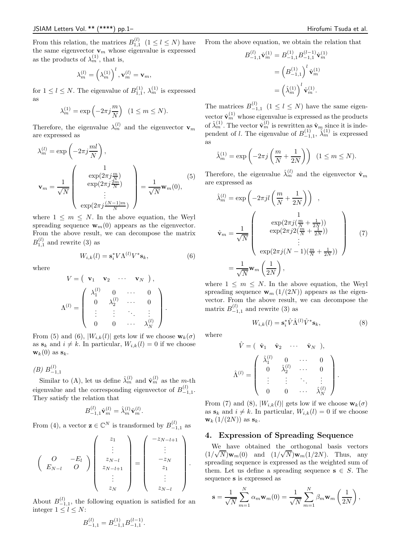From this relation, the matrices  $B_{1,1}^{(l)}$   $(1 \leq l \leq N)$  have the same eigenvector  $\mathbf{v}_m$  whose eigenvalue is expressed as the products of  $\lambda_m^{(1)}$ , that is,

$$
\lambda_m^{(l)} = \left(\lambda_m^{(1)}\right)^l, \mathbf{v}_m^{(l)} = \mathbf{v}_m,
$$

for  $1 \leq l \leq N$ . The eigenvalue of  $B_{1,1}^{(1)}$ ,  $\lambda_m^{(1)}$  is expressed as

$$
\lambda_m^{(1)} = \exp\left(-2\pi j \frac{m}{N}\right) \quad (1 \le m \le N).
$$

Therefore, the eigenvalue  $\lambda_m^{(l)}$  and the eigenvector  $\mathbf{v}_m$ are expressed as

$$
\lambda_m^{(l)} = \exp\left(-2\pi j \frac{ml}{N}\right),
$$

$$
\mathbf{v}_m = \frac{1}{\sqrt{N}} \begin{pmatrix} 1 \\ \exp(2\pi j \frac{m}{N}) \\ \exp(2\pi j \frac{2m}{N}) \\ \vdots \\ \exp(2\pi j \frac{(N-1)m}{N}) \end{pmatrix} = \frac{1}{\sqrt{N}} \mathbf{w}_m(0),
$$
 (5)

where  $1 \leq m \leq N$ . In the above equation, the Weyl spreading sequence  $\mathbf{w}_m(0)$  appears as the eigenvector. From the above result, we can decompose the matrix  $B_{1,1}^{(l)}$  and rewrite (3) as

$$
W_{i,k}(l) = \mathbf{s}_i^* V \Lambda^{(l)} V^* \mathbf{s}_k,\tag{6}
$$

where

$$
V = \begin{pmatrix} \mathbf{v}_1 & \mathbf{v}_2 & \cdots & \mathbf{v}_N \end{pmatrix},
$$

$$
\Lambda^{(l)} = \begin{pmatrix} \lambda_1^{(l)} & 0 & \cdots & 0 \\ 0 & \lambda_2^{(l)} & \cdots & 0 \\ \vdots & \vdots & \ddots & \vdots \\ 0 & 0 & \cdots & \lambda_N^{(l)} \end{pmatrix}.
$$

From (5) and (6),  $|W_{i,k}(l)|$  gets low if we choose  $\mathbf{w}_k(\sigma)$ as  $s_k$  and  $i \neq k$ . In particular,  $W_{i,k}(l) = 0$  if we choose  $\mathbf{w}_k(0)$  as  $\mathbf{s}_k$ .

 $(B) B_{-1,1}^{(l)}$ 

Similar to (A), let us define  $\hat{\lambda}_m^{(l)}$  and  $\hat{\mathbf{v}}_m^{(l)}$  as the m-th eigenvalue and the corresponding eigenvector of  $B_{-1,1}^{(l)}$ . They satisfy the relation that

$$
B_{-1,1}^{(l)} \hat{\mathbf{v}}_m^{(l)} = \hat{\lambda}_m^{(l)} \hat{\mathbf{v}}_m^{(l)}.
$$

From (4), a vector  $\mathbf{z} \in \mathbb{C}^N$  is transformed by  $B_{-1,1}^{(l)}$  as

$$
\begin{pmatrix} Q & -E_l \ E_{N-l} & Q \end{pmatrix} \begin{pmatrix} z_1 \\ \vdots \\ z_{N-l} \\ z_{N-l+1} \\ \vdots \\ z_N \end{pmatrix} = \begin{pmatrix} -z_{N-l+1} \\ \vdots \\ -z_N \\ z_1 \\ \vdots \\ z_{N-l} \end{pmatrix}.
$$

About  $B_{-1,1}^{(l)}$ , the following equation is satisfied for an integer  $1 \leq l \leq N$ :

$$
B_{-1,1}^{(l)} = B_{-1,1}^{(1)} B_{-1,1}^{(l-1)}.
$$

From the above equation, we obtain the relation that

$$
B_{-1,1}^{(l)} \hat{\mathbf{v}}_m^{(1)} = B_{-1,1}^{(1)} B_{-1,1}^{(l-1)} \hat{\mathbf{v}}_m^{(1)}
$$
  
= 
$$
(B_{-1,1}^{(1)})^l \hat{\mathbf{v}}_m^{(1)}
$$
  
= 
$$
(\hat{\lambda}_m^{(1)})^l \hat{\mathbf{v}}_m^{(1)}.
$$

The matrices  $B_{-1,1}^{(l)}$   $(1 \leq l \leq N)$  have the same eigenvector  $\hat{\mathbf{v}}_m^{(1)}$  whose eigenvalue is expressed as the products of  $\hat{\lambda}_m^{(1)}$ . The vector  $\hat{\mathbf{v}}_m^{(l)}$  is rewritten as  $\hat{\mathbf{v}}_m$  since it is independent of l. The eigenvalue of  $B_{-1,1}^{(1)}$ ,  $\hat{\lambda}_m^{(1)}$  is expressed as

$$
\hat{\lambda}_m^{(1)} = \exp\left(-2\pi j \left(\frac{m}{N} + \frac{1}{2N}\right)\right) \quad (1 \le m \le N).
$$

Therefore, the eigenvalue  $\hat{\lambda}_m^{(l)}$  and the eigenvector  $\hat{\mathbf{v}}_m$ are expressed as

$$
\hat{\lambda}_m^{(l)} = \exp\left(-2\pi j l \left(\frac{m}{N} + \frac{1}{2N}\right)\right) ,
$$
\n
$$
\hat{\mathbf{v}}_m = \frac{1}{\sqrt{N}} \begin{pmatrix} \exp\left(2\pi j \left(\frac{m}{N} + \frac{1}{2N}\right)\right) \\ \exp\left(2\pi j 2 \left(\frac{m}{N} + \frac{1}{2N}\right)\right) \\ \exp\left(2\pi j (N-1) \left(\frac{m}{N} + \frac{1}{2N}\right)\right) \\ \vdots \\ \exp\left(2\pi j (N-1) \left(\frac{m}{N} + \frac{1}{2N}\right)\right) \end{pmatrix}
$$
\n(7)\n
$$
= \frac{1}{\sqrt{N}} \mathbf{w}_m \left(\frac{1}{2N}\right),
$$

where  $1 \leq m \leq N$ . In the above equation, the Weyl spreading sequence  $\mathbf{w}_m(1/(2N))$  appears as the eigenvector. From the above result, we can decompose the matrix  $B_{-1,1}^{(l)}$  and rewrite (3) as

 $W_{i,k}(l) = \mathbf{s}_{i}^{*} \hat{V} \hat{\Lambda}^{(l)} \hat{V}^{*} \mathbf{s}_{k},$ (8)

where

$$
\hat{V} = \begin{pmatrix}\n\hat{\mathbf{v}}_1 & \hat{\mathbf{v}}_2 & \cdots & \hat{\mathbf{v}}_N\n\end{pmatrix},
$$
\n
$$
\hat{\Lambda}^{(l)} = \begin{pmatrix}\n\hat{\lambda}_1^{(l)} & 0 & \cdots & 0 \\
0 & \hat{\lambda}_2^{(l)} & \cdots & 0 \\
\vdots & \vdots & \ddots & \vdots \\
0 & 0 & \cdots & \hat{\lambda}_N^{(l)}\n\end{pmatrix}.
$$

From (7) and (8),  $|W_{i,k}(l)|$  gets low if we choose  $\mathbf{w}_k(\sigma)$ as  $s_k$  and  $i \neq k$ . In particular,  $W_{i,k}(l) = 0$  if we choose  $\mathbf{w}_k(1/(2N))$  as  $\mathbf{s}_k$ .

### 4. Expression of Spreading Sequence

We have obtained the orthogonal basis vectors  $(1/\sqrt{N})\mathbf{w}_m(0)$  and  $(1/\sqrt{N})\mathbf{w}_m(1/2N)$ . Thus, any spreading sequence is expressed as the weighted sum of them. Let us define a spreading sequence  $s \in S$ . The sequence s is expressed as

$$
\mathbf{s} = \frac{1}{\sqrt{N}} \sum_{m=1}^{N} \alpha_m \mathbf{w}_m(0) = \frac{1}{\sqrt{N}} \sum_{m=1}^{N} \beta_m \mathbf{w}_m \left(\frac{1}{2N}\right),
$$